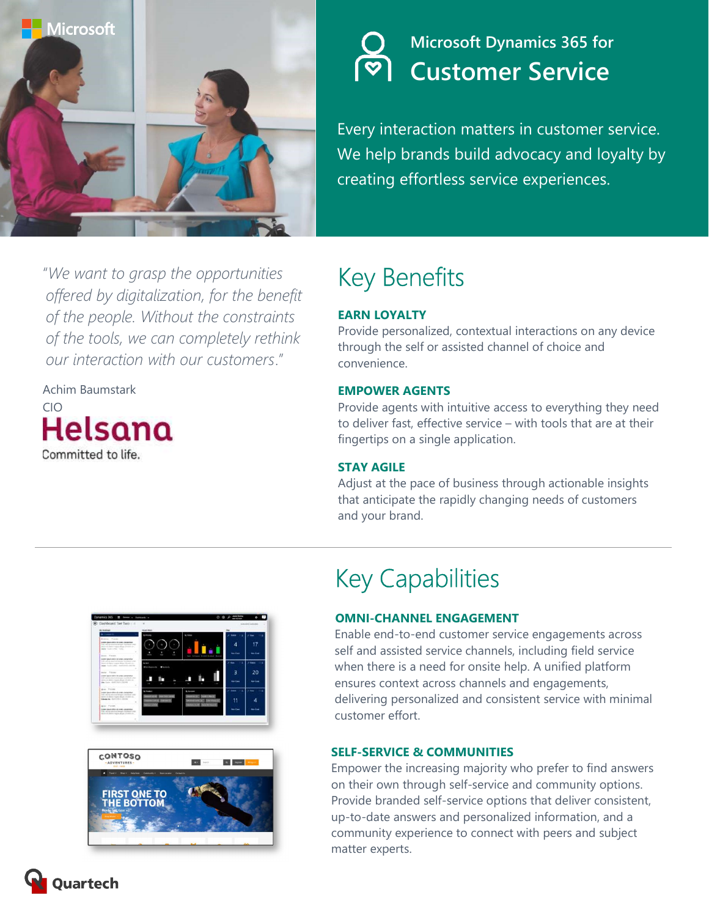

### **Microsoft Dynamics 365 for Customer Service**

Every interaction matters in customer service. We help brands build advocacy and loyalty by creating effortless service experiences.

"We want to grasp the opportunities offered by digitalization, for the benefit of the people. Without the constraints of the tools, we can completely rethink our interaction with our customers."

Achim Baumstark CIO Helsana Committed to life.

# Key Benefits

### EARN LOYALTY

Provide personalized, contextual interactions on any device through the self or assisted channel of choice and convenience.

#### EMPOWER AGENTS

Provide agents with intuitive access to everything they need to deliver fast, effective service – with tools that are at their fingertips on a single application.

#### STAY AGILE

Adjust at the pace of business through actionable insights that anticipate the rapidly changing needs of customers and your brand.





## Key Capabilities

#### OMNI-CHANNEL ENGAGEMENT

Enable end-to-end customer service engagements across self and assisted service channels, including field service when there is a need for onsite help. A unified platform ensures context across channels and engagements, delivering personalized and consistent service with minimal customer effort.

#### SELF-SERVICE & COMMUNITIES

Empower the increasing majority who prefer to find answers on their own through self-service and community options. Provide branded self-service options that deliver consistent, up-to-date answers and personalized information, and a community experience to connect with peers and subject matter experts.